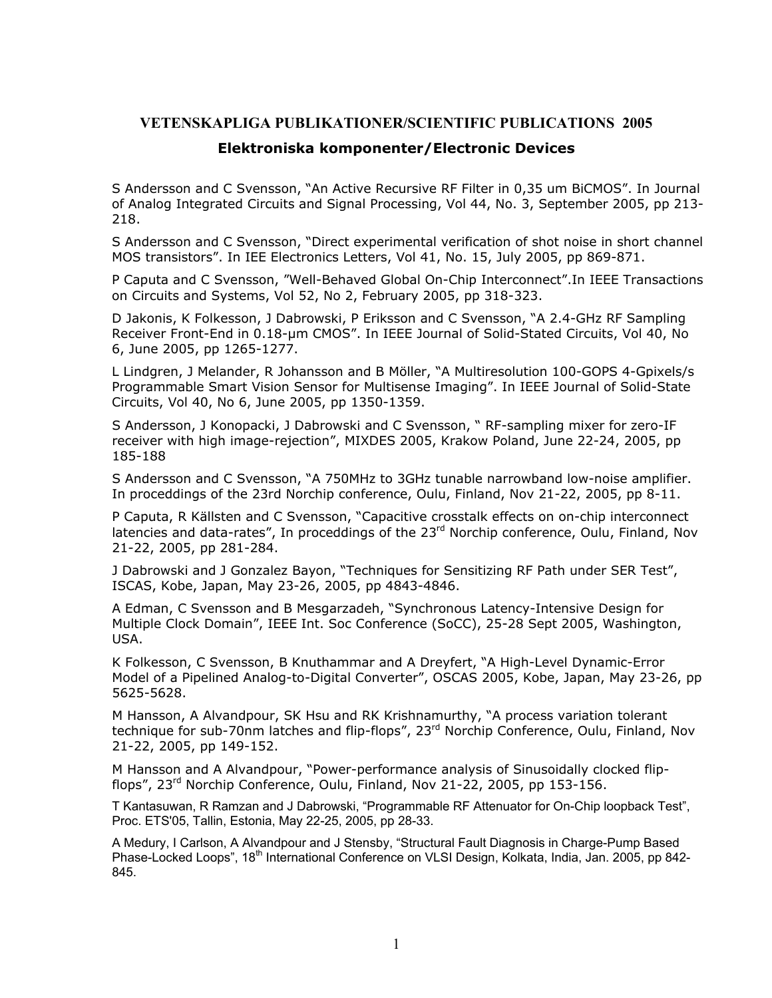## **VETENSKAPLIGA PUBLIKATIONER/SCIENTIFIC PUBLICATIONS 2005**

## **Elektroniska komponenter/Electronic Devices**

S Andersson and C Svensson, "An Active Recursive RF Filter in 0,35 um BiCMOS". In Journal of Analog Integrated Circuits and Signal Processing, Vol 44, No. 3, September 2005, pp 213- 218.

S Andersson and C Svensson, "Direct experimental verification of shot noise in short channel MOS transistors". In IEE Electronics Letters, Vol 41, No. 15, July 2005, pp 869-871.

P Caputa and C Svensson, "Well-Behaved Global On-Chip Interconnect".In IEEE Transactions on Circuits and Systems, Vol 52, No 2, February 2005, pp 318-323.

D Jakonis, K Folkesson, J Dabrowski, P Eriksson and C Svensson, "A 2.4-GHz RF Sampling Receiver Front-End in 0.18-µm CMOS". In IEEE Journal of Solid-Stated Circuits, Vol 40, No 6, June 2005, pp 1265-1277.

L Lindgren, J Melander, R Johansson and B Möller, "A Multiresolution 100-GOPS 4-Gpixels/s Programmable Smart Vision Sensor for Multisense Imaging". In IEEE Journal of Solid-State Circuits, Vol 40, No 6, June 2005, pp 1350-1359.

S Andersson, J Konopacki, J Dabrowski and C Svensson, " RF-sampling mixer for zero-IF receiver with high image-rejection", MIXDES 2005, Krakow Poland, June 22-24, 2005, pp 185-188

S Andersson and C Svensson, "A 750MHz to 3GHz tunable narrowband low-noise amplifier. In proceddings of the 23rd Norchip conference, Oulu, Finland, Nov 21-22, 2005, pp 8-11.

P Caputa, R Källsten and C Svensson, "Capacitive crosstalk effects on on-chip interconnect latencies and data-rates", In proceddings of the 23<sup>rd</sup> Norchip conference, Oulu, Finland, Nov 21-22, 2005, pp 281-284.

J Dabrowski and J Gonzalez Bayon, "Techniques for Sensitizing RF Path under SER Test", ISCAS, Kobe, Japan, May 23-26, 2005, pp 4843-4846.

A Edman, C Svensson and B Mesgarzadeh, "Synchronous Latency-Intensive Design for Multiple Clock Domain", IEEE Int. Soc Conference (SoCC), 25-28 Sept 2005, Washington, USA.

K Folkesson, C Svensson, B Knuthammar and A Dreyfert, "A High-Level Dynamic-Error Model of a Pipelined Analog-to-Digital Converter", OSCAS 2005, Kobe, Japan, May 23-26, pp 5625-5628.

M Hansson, A Alvandpour, SK Hsu and RK Krishnamurthy, "A process variation tolerant technique for sub-70nm latches and flip-flops", 23<sup>rd</sup> Norchip Conference, Oulu, Finland, Nov 21-22, 2005, pp 149-152.

M Hansson and A Alvandpour, "Power-performance analysis of Sinusoidally clocked flipflops", 23<sup>rd</sup> Norchip Conference, Oulu, Finland, Nov 21-22, 2005, pp 153-156.

T Kantasuwan, R Ramzan and J Dabrowski, "Programmable RF Attenuator for On-Chip loopback Test", Proc. ETS'05, Tallin, Estonia, May 22-25, 2005, pp 28-33.

A Medury, I Carlson, A Alvandpour and J Stensby, "Structural Fault Diagnosis in Charge-Pump Based Phase-Locked Loops", 18<sup>th</sup> International Conference on VLSI Design, Kolkata, India, Jan. 2005, pp 842-845.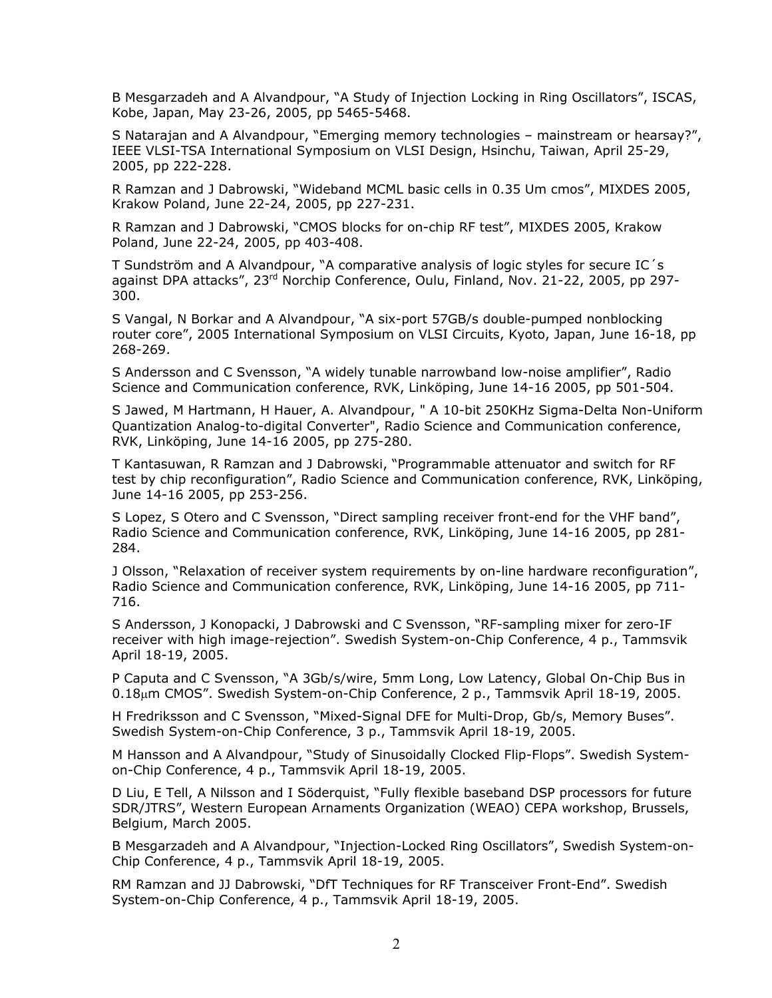B Mesgarzadeh and A Alvandpour, "A Study of Injection Locking in Ring Oscillators", ISCAS, Kobe, Japan, May 23-26, 2005, pp 5465-5468.

S Natarajan and A Alvandpour, "Emerging memory technologies – mainstream or hearsay?", IEEE VLSI-TSA International Symposium on VLSI Design, Hsinchu, Taiwan, April 25-29, 2005, pp 222-228.

R Ramzan and J Dabrowski, "Wideband MCML basic cells in 0.35 Um cmos", MIXDES 2005, Krakow Poland, June 22-24, 2005, pp 227-231.

R Ramzan and J Dabrowski, "CMOS blocks for on-chip RF test", MIXDES 2005, Krakow Poland, June 22-24, 2005, pp 403-408.

T Sundström and A Alvandpour, "A comparative analysis of logic styles for secure IC´s against DPA attacks", 23<sup>rd</sup> Norchip Conference, Oulu, Finland, Nov. 21-22, 2005, pp 297-300.

S Vangal, N Borkar and A Alvandpour, "A six-port 57GB/s double-pumped nonblocking router core", 2005 International Symposium on VLSI Circuits, Kyoto, Japan, June 16-18, pp 268-269.

S Andersson and C Svensson, "A widely tunable narrowband low-noise amplifier", Radio Science and Communication conference, RVK, Linköping, June 14-16 2005, pp 501-504.

S Jawed, M Hartmann, H Hauer, A. Alvandpour, " A 10-bit 250KHz Sigma-Delta Non-Uniform Quantization Analog-to-digital Converter", Radio Science and Communication conference, RVK, Linköping, June 14-16 2005, pp 275-280.

T Kantasuwan, R Ramzan and J Dabrowski, "Programmable attenuator and switch for RF test by chip reconfiguration", Radio Science and Communication conference, RVK, Linköping, June 14-16 2005, pp 253-256.

S Lopez, S Otero and C Svensson, "Direct sampling receiver front-end for the VHF band", Radio Science and Communication conference, RVK, Linköping, June 14-16 2005, pp 281- 284.

J Olsson, "Relaxation of receiver system requirements by on-line hardware reconfiguration", Radio Science and Communication conference, RVK, Linköping, June 14-16 2005, pp 711- 716.

S Andersson, J Konopacki, J Dabrowski and C Svensson, "RF-sampling mixer for zero-IF receiver with high image-rejection". Swedish System-on-Chip Conference, 4 p., Tammsvik April 18-19, 2005.

P Caputa and C Svensson, "A 3Gb/s/wire, 5mm Long, Low Latency, Global On-Chip Bus in 0.18µm CMOS". Swedish System-on-Chip Conference, 2 p., Tammsvik April 18-19, 2005.

H Fredriksson and C Svensson, "Mixed-Signal DFE for Multi-Drop, Gb/s, Memory Buses". Swedish System-on-Chip Conference, 3 p., Tammsvik April 18-19, 2005.

M Hansson and A Alvandpour, "Study of Sinusoidally Clocked Flip-Flops". Swedish Systemon-Chip Conference, 4 p., Tammsvik April 18-19, 2005.

D Liu, E Tell, A Nilsson and I Söderquist, "Fully flexible baseband DSP processors for future SDR/JTRS", Western European Arnaments Organization (WEAO) CEPA workshop, Brussels, Belgium, March 2005.

B Mesgarzadeh and A Alvandpour, "Injection-Locked Ring Oscillators", Swedish System-on-Chip Conference, 4 p., Tammsvik April 18-19, 2005.

RM Ramzan and JJ Dabrowski, "DfT Techniques for RF Transceiver Front-End". Swedish System-on-Chip Conference, 4 p., Tammsvik April 18-19, 2005.